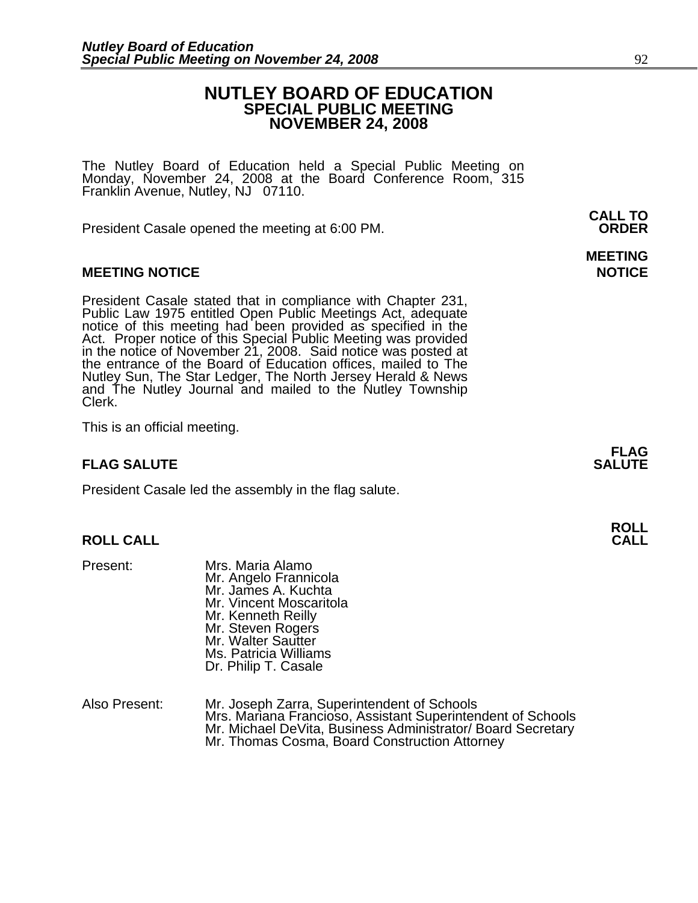## **NUTLEY BOARD OF EDUCATION SPECIAL PUBLIC MEETING NOVEMBER 24, 2008**

The Nutley Board of Education held a Special Public Meeting on Monday, November 24, 2008 at the Board Conference Room, 315 Franklin Avenue, Nutley, NJ 07110.

 **CALL TO**  President Casale opened the meeting at 6:00 PM. **ORDER**

## **MEETING NOTICE NOTICE REPORTS AND ALCOHOL**

President Casale stated that in compliance with Chapter 231,<br>Public Law 1975 entitled Open Public Meetings Act, adequate<br>notice of this meeting had been provided as specified in the<br>Act. Proper notice of this Special Publi Nutley Sun, The Star Ledger, The North Jersey Herald & News and The Nutley Journal and mailed to the Nutley Township Clerk.

This is an official meeting.

## **FLAG SALUTE** SALUTE SALUTE SALUTE SALUTE SALUTE

President Casale led the assembly in the flag salute.

# **ROLL ROLL CALL CALL**

- Present: Mrs. Maria Alamo Mr. Angelo Frannicola Mr. James A. Kuchta Mr. Vincent Moscaritola Mr. Kenneth Reilly Mr. Steven Rogers Mr. Walter Sautter Ms. Patricia Williams Dr. Philip T. Casale
- Also Present: Mr. Joseph Zarra, Superintendent of Schools Mrs. Mariana Francioso, Assistant Superintendent of Schools Mr. Michael DeVita, Business Administrator/ Board Secretary Mr. Thomas Cosma, Board Construction Attorney

**MEETING** 

**FLAG**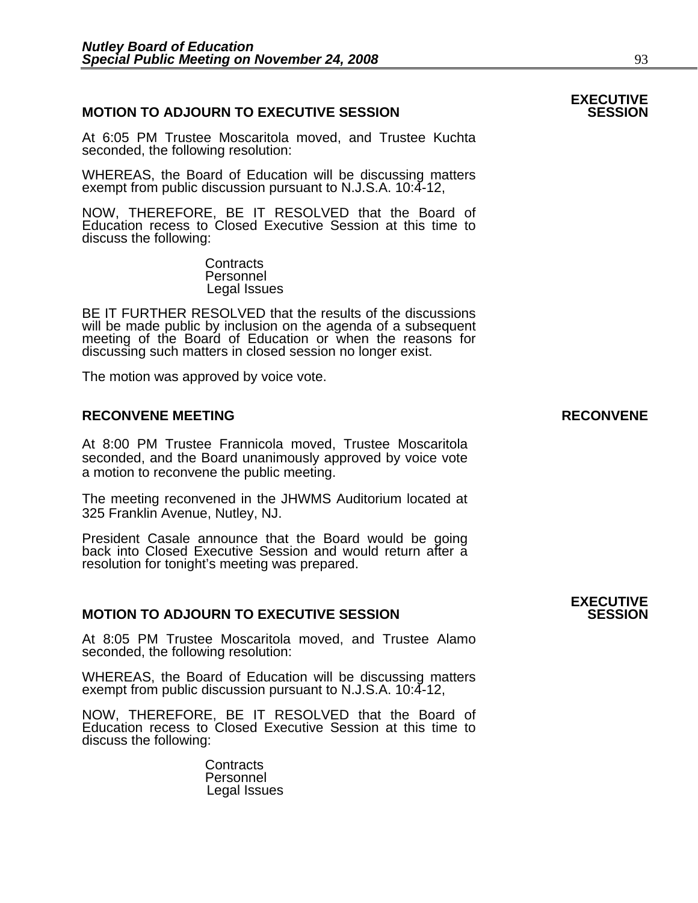## **MOTION TO ADJOURN TO EXECUTIVE SESSION**

At 6:05 PM Trustee Moscaritola moved, and Trustee Kuchta seconded, the following resolution:

WHEREAS, the Board of Education will be discussing matters exempt from public discussion pursuant to N.J.S.A. 10:4-12,

NOW, THEREFORE, BE IT RESOLVED that the Board of Education recess to Closed Executive Session at this time to discuss the following:

> **Contracts**  Personnel Legal Issues

BE IT FURTHER RESOLVED that the results of the discussions will be made public by inclusion on the agenda of a subsequent meeting of the Board of Education or when the reasons for discussing such matters in closed session no longer exist.

The motion was approved by voice vote.

## **RECONVENE MEETING RECONVENE**

At 8:00 PM Trustee Frannicola moved, Trustee Moscaritola seconded, and the Board unanimously approved by voice vote a motion to reconvene the public meeting.

The meeting reconvened in the JHWMS Auditorium located at 325 Franklin Avenue, Nutley, NJ.

President Casale announce that the Board would be going back into Closed Executive Session and would return after a resolution for tonight's meeting was prepared.

## **MOTION TO ADJOURN TO EXECUTIVE SESSION**

At 8:05 PM Trustee Moscaritola moved, and Trustee Alamo seconded, the following resolution:

WHEREAS, the Board of Education will be discussing matters exempt from public discussion pursuant to N.J.S.A. 10:4-12,

NOW, THEREFORE, BE IT RESOLVED that the Board of Education recess to Closed Executive Session at this time to discuss the following:

> **Contracts**  Personnel Legal Issues

# **EXECUTIVE**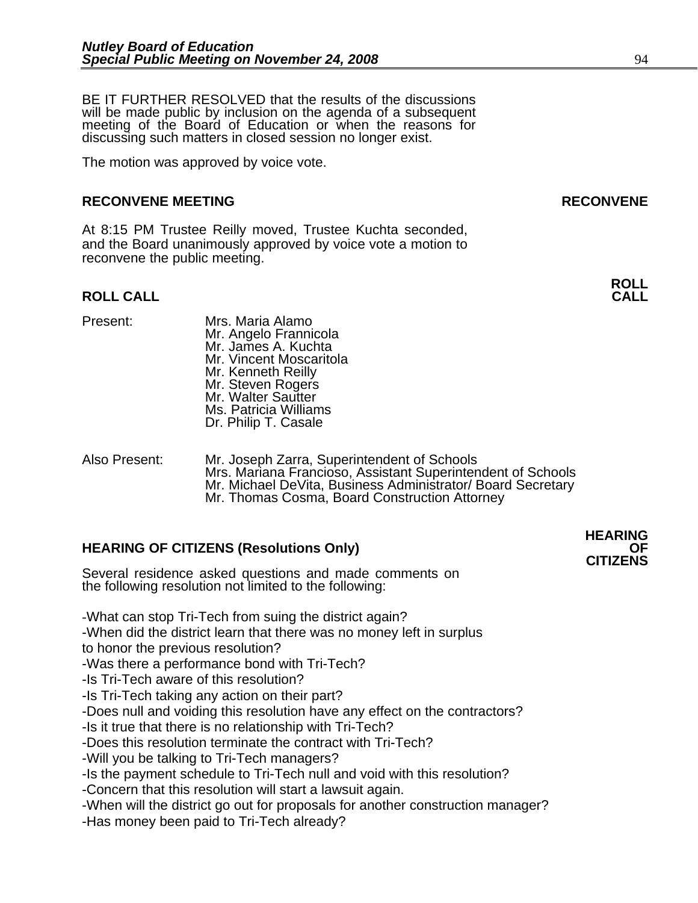BE IT FURTHER RESOLVED that the results of the discussions will be made public by inclusion on the agenda of a subsequent meeting of the Board of Education or when the reasons for discussing such matters in closed session no longer exist.

The motion was approved by voice vote.

### **RECONVENE MEETING RECONVENE**

At 8:15 PM Trustee Reilly moved, Trustee Kuchta seconded, and the Board unanimously approved by voice vote a motion to reconvene the public meeting.

# **ROLL ROLL CALL CALL**

- 
- Present: Mrs. Maria Alamo Mr. Angelo Frannicola Mr. James A. Kuchta Mr. Vincent Moscaritola Mr. Kenneth Reilly Mr. Steven Rogers Mr. Walter Sautter Ms. Patricia Williams Dr. Philip T. Casale

Also Present: Mr. Joseph Zarra, Superintendent of Schools Mrs. Mariana Francioso, Assistant Superintendent of Schools Mr. Michael DeVita, Business Administrator/ Board Secretary Mr. Thomas Cosma, Board Construction Attorney

## **HEARING OF CITIZENS (Resolutions Only) OF CITIZENS**

Several residence asked questions and made comments on the following resolution not limited to the following:

-What can stop Tri-Tech from suing the district again?

-When did the district learn that there was no money left in surplus to honor the previous resolution?

-Was there a performance bond with Tri-Tech?

-Is Tri-Tech aware of this resolution?

-Is Tri-Tech taking any action on their part?

-Does null and voiding this resolution have any effect on the contractors?

-Is it true that there is no relationship with Tri-Tech?

-Does this resolution terminate the contract with Tri-Tech?

-Will you be talking to Tri-Tech managers?

-Is the payment schedule to Tri-Tech null and void with this resolution?

-Concern that this resolution will start a lawsuit again.

-When will the district go out for proposals for another construction manager? -Has money been paid to Tri-Tech already?

**HEARING**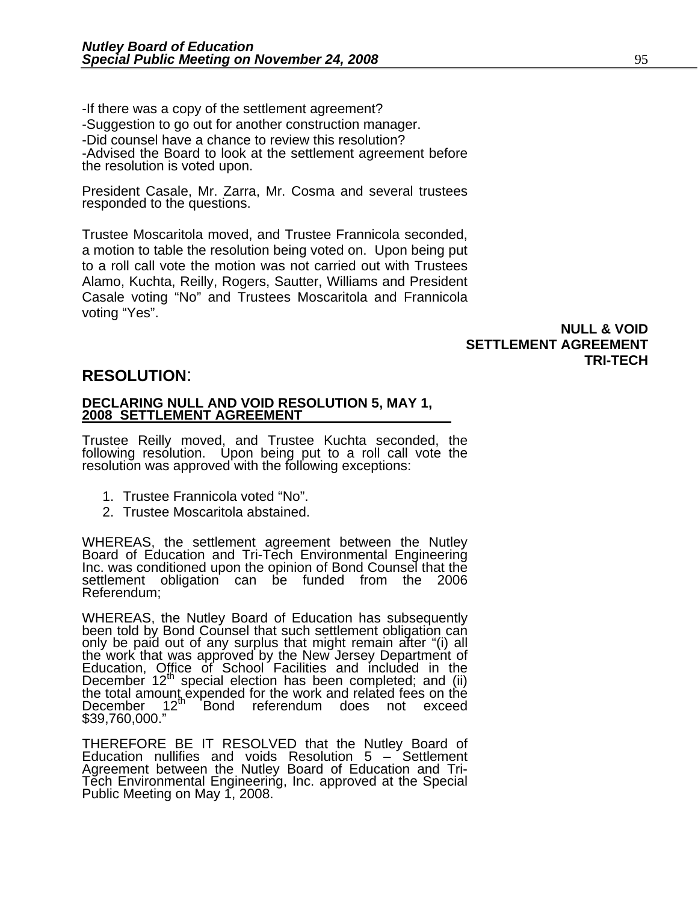-If there was a copy of the settlement agreement? -Suggestion to go out for another construction manager. -Did counsel have a chance to review this resolution? -Advised the Board to look at the settlement agreement before the resolution is voted upon.

President Casale, Mr. Zarra, Mr. Cosma and several trustees responded to the questions.

Trustee Moscaritola moved, and Trustee Frannicola seconded, a motion to table the resolution being voted on. Upon being put to a roll call vote the motion was not carried out with Trustees Alamo, Kuchta, Reilly, Rogers, Sautter, Williams and President Casale voting "No" and Trustees Moscaritola and Frannicola voting "Yes".

> **NULL & VOID SETTLEMENT AGREEMENT TRI-TECH**

# **RESOLUTION**: **DECLARING NULL AND VOID RESOLUTION 5, MAY 1, 2008 SETTLEMENT AGREEMENT**

Trustee Reilly moved, and Trustee Kuchta seconded, the following resolution. Upon being put to a roll call vote the resolution was approved with the following exceptions:

- 1. Trustee Frannicola voted "No".
- 2. Trustee Moscaritola abstained.

WHEREAS, the settlement agreement between the Nutley Board of Education and Tri-Tech Environmental Engineering Inc. was conditioned upon the opinion of Bond Counsel that the settlement obligation can be funded from the 2006 Referendum;

WHEREAS, the Nutley Board of Education has subsequently been told by Bond Counsel that such settlement obligation can been told by Bond Counsel that such settlement obligation can<br>only be paid out of any surplus that might remain after "(i) all<br>the work that was approved by the New Jersey Department of<br>Education, Office of School Faciliti December 12<sup>th</sup> special election has been completed; and (ii)<br>the total amount expended for the work and related fees on the the tetal amount of the teach and referendum does not exceed \$39,760,000."

THEREFORE BE IT RESOLVED that the Nutley Board of Education nullifies and voids Resolution 5 – Settlement Agreement between the Nutley Board of Education and Tri-Tech Environmental Engineering, Inc. approved at the Special<br>Public Meeting on May 1, 2008.